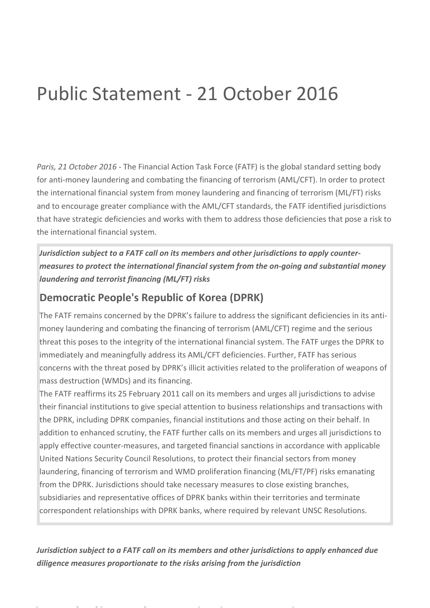## Public Statement - 21 October 2016

*Paris, 21 October 2016* - The Financial Action Task Force (FATF) is the global standard setting body for anti-money laundering and combating the financing of terrorism (AML/CFT). In order to protect the international financial system from money laundering and financing of terrorism (ML/FT) risks and to encourage greater compliance with the AML/CFT standards, the FATF identified jurisdictions that have strategic deficiencies and works with them to address those deficiencies that pose a risk to the international financial system.

*Jurisdiction subject to a FATF call on its members and other jurisdictions to apply countermeasures to protect the international financial system from the on-going and substantial money laundering and terrorist financing (ML/FT) risks*

## **Democratic People's Republic of Korea (DPRK)**

The FATF remains concerned by the DPRK's failure to address the significant deficiencies in its antimoney laundering and combating the financing of terrorism (AML/CFT) regime and the serious threat this poses to the integrity of the international financial system. The FATF urges the DPRK to immediately and meaningfully address its AML/CFT deficiencies. Further, FATF has serious concerns with the threat posed by DPRK's illicit activities related to the proliferation of weapons of mass destruction (WMDs) and its financing.

The FATF reaffirms its 25 February 2011 call on its members and urges all jurisdictions to advise their financial institutions to give special attention to business relationships and transactions with the DPRK, including DPRK companies, financial institutions and those acting on their behalf. In addition to enhanced scrutiny, the FATF further calls on its members and urges all jurisdictions to apply effective counter-measures, and targeted financial sanctions in accordance with applicable United Nations Security Council Resolutions, to protect their financial sectors from money laundering, financing of terrorism and WMD proliferation financing (ML/FT/PF) risks emanating from the DPRK. Jurisdictions should take necessary measures to close existing branches, subsidiaries and representative offices of DPRK banks within their territories and terminate correspondent relationships with DPRK banks, where required by relevant UNSC Resolutions.

*Jurisdiction subject to a FATF call on its members and other jurisdictions to apply enhanced due diligence measures proportionate to the risks arising from the jurisdiction*